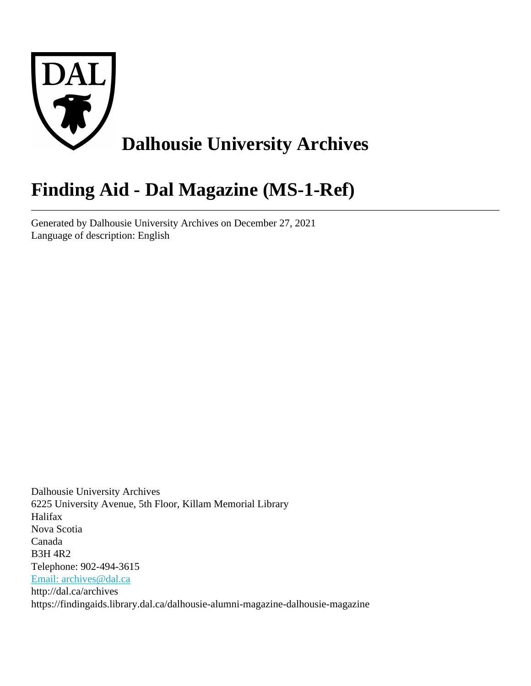

# **Finding Aid - Dal Magazine (MS-1-Ref)**

Generated by Dalhousie University Archives on December 27, 2021 Language of description: English

Dalhousie University Archives 6225 University Avenue, 5th Floor, Killam Memorial Library Halifax Nova Scotia Canada B3H 4R2 Telephone: 902-494-3615 [Email: archives@dal.ca](mailto:Email: archives@dal.ca) http://dal.ca/archives https://findingaids.library.dal.ca/dalhousie-alumni-magazine-dalhousie-magazine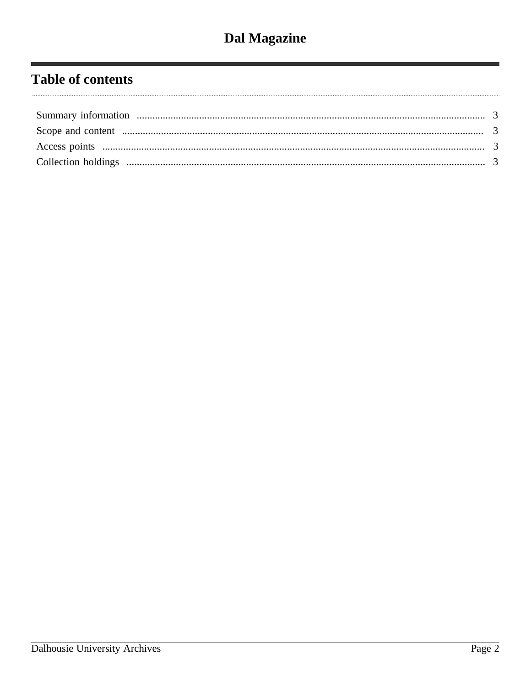# **Table of contents**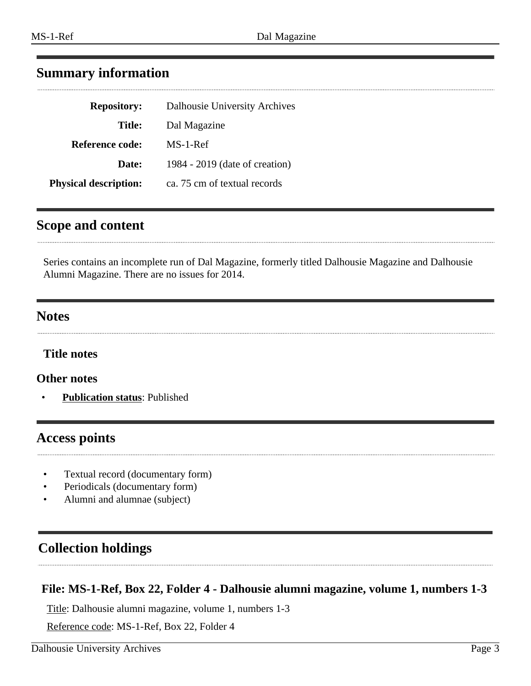# <span id="page-2-0"></span>**Summary information**

| <b>Repository:</b>           | Dalhousie University Archives  |
|------------------------------|--------------------------------|
| Title:                       | Dal Magazine                   |
| <b>Reference code:</b>       | MS-1-Ref                       |
| Date:                        | 1984 - 2019 (date of creation) |
| <b>Physical description:</b> | ca. 75 cm of textual records   |

# <span id="page-2-1"></span>**Scope and content**

Series contains an incomplete run of Dal Magazine, formerly titled Dalhousie Magazine and Dalhousie Alumni Magazine. There are no issues for 2014.

# **Notes**

**Title notes**

**Other notes**

• **Publication status**: Published

# <span id="page-2-2"></span>**Access points**

- Textual record (documentary form)
- Periodicals (documentary form)
- Alumni and alumnae (subject)

# <span id="page-2-3"></span>**Collection holdings**

# **File: MS-1-Ref, Box 22, Folder 4 - Dalhousie alumni magazine, volume 1, numbers 1-3**

Title: Dalhousie alumni magazine, volume 1, numbers 1-3

Reference code: MS-1-Ref, Box 22, Folder 4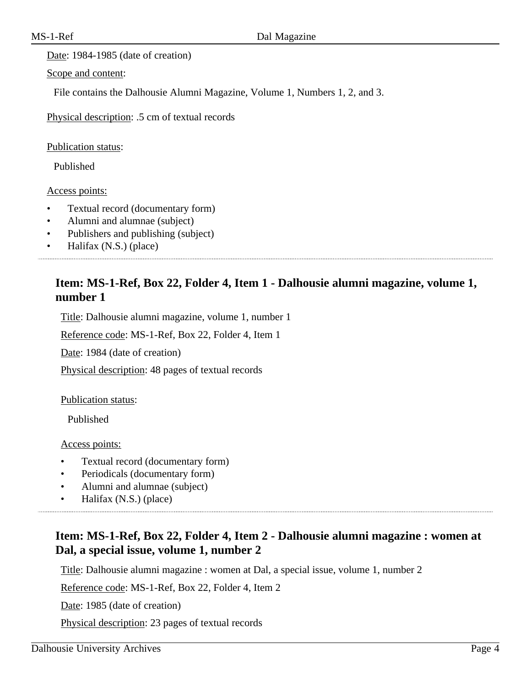Date: 1984-1985 (date of creation)

Scope and content:

File contains the Dalhousie Alumni Magazine, Volume 1, Numbers 1, 2, and 3.

Physical description: .5 cm of textual records

Publication status:

Published

Access points:

- Textual record (documentary form)
- Alumni and alumnae (subject)
- Publishers and publishing (subject)
- Halifax (N.S.) (place)

# **Item: MS-1-Ref, Box 22, Folder 4, Item 1 - Dalhousie alumni magazine, volume 1, number 1**

Title: Dalhousie alumni magazine, volume 1, number 1

Reference code: MS-1-Ref, Box 22, Folder 4, Item 1

Date: 1984 (date of creation)

Physical description: 48 pages of textual records

Publication status:

Published

Access points:

- Textual record (documentary form)
- Periodicals (documentary form)
- Alumni and alumnae (subject)
- Halifax (N.S.) (place)

# **Item: MS-1-Ref, Box 22, Folder 4, Item 2 - Dalhousie alumni magazine : women at Dal, a special issue, volume 1, number 2**

Title: Dalhousie alumni magazine : women at Dal, a special issue, volume 1, number 2

Reference code: MS-1-Ref, Box 22, Folder 4, Item 2

Date: 1985 (date of creation)

Physical description: 23 pages of textual records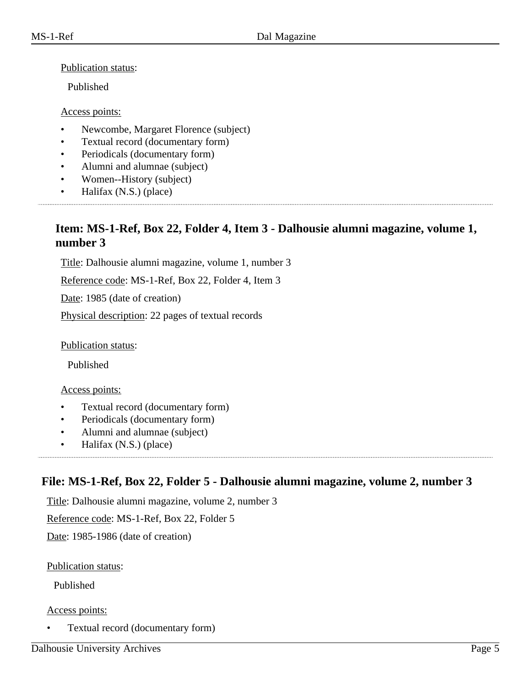#### Publication status:

Published

#### Access points:

- Newcombe, Margaret Florence (subject)
- Textual record (documentary form)
- Periodicals (documentary form)
- Alumni and alumnae (subject)
- Women--History (subject)
- Halifax (N.S.) (place)

## **Item: MS-1-Ref, Box 22, Folder 4, Item 3 - Dalhousie alumni magazine, volume 1, number 3**

Title: Dalhousie alumni magazine, volume 1, number 3

Reference code: MS-1-Ref, Box 22, Folder 4, Item 3

Date: 1985 (date of creation)

Physical description: 22 pages of textual records

Publication status:

Published

#### Access points:

- Textual record (documentary form)
- Periodicals (documentary form)
- Alumni and alumnae (subject)
- Halifax (N.S.) (place)

# **File: MS-1-Ref, Box 22, Folder 5 - Dalhousie alumni magazine, volume 2, number 3**

Title: Dalhousie alumni magazine, volume 2, number 3

Reference code: MS-1-Ref, Box 22, Folder 5

Date: 1985-1986 (date of creation)

#### Publication status:

Published

#### Access points:

• Textual record (documentary form)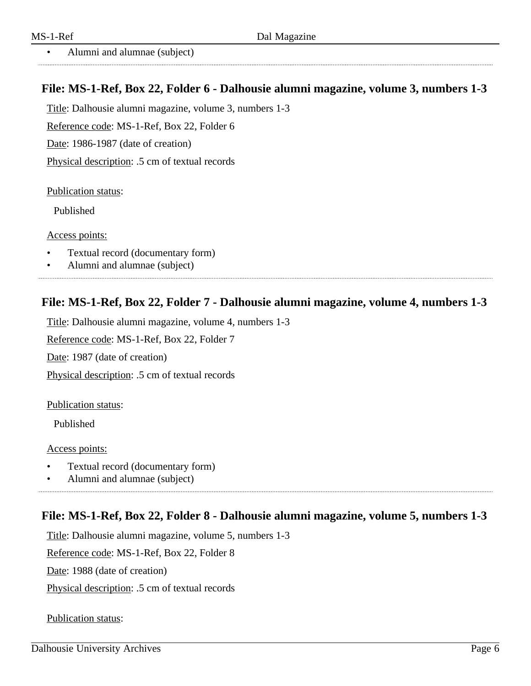• Alumni and alumnae (subject)

# **File: MS-1-Ref, Box 22, Folder 6 - Dalhousie alumni magazine, volume 3, numbers 1-3**

Title: Dalhousie alumni magazine, volume 3, numbers 1-3

Reference code: MS-1-Ref, Box 22, Folder 6

Date: 1986-1987 (date of creation)

Physical description: .5 cm of textual records

Publication status:

Published

Access points:

- Textual record (documentary form)
- Alumni and alumnae (subject)

# **File: MS-1-Ref, Box 22, Folder 7 - Dalhousie alumni magazine, volume 4, numbers 1-3**

Title: Dalhousie alumni magazine, volume 4, numbers 1-3

Reference code: MS-1-Ref, Box 22, Folder 7

Date: 1987 (date of creation)

Physical description: .5 cm of textual records

Publication status:

Published

Access points:

- Textual record (documentary form)
- Alumni and alumnae (subject)

# **File: MS-1-Ref, Box 22, Folder 8 - Dalhousie alumni magazine, volume 5, numbers 1-3**

Title: Dalhousie alumni magazine, volume 5, numbers 1-3

Reference code: MS-1-Ref, Box 22, Folder 8

Date: 1988 (date of creation)

Physical description: .5 cm of textual records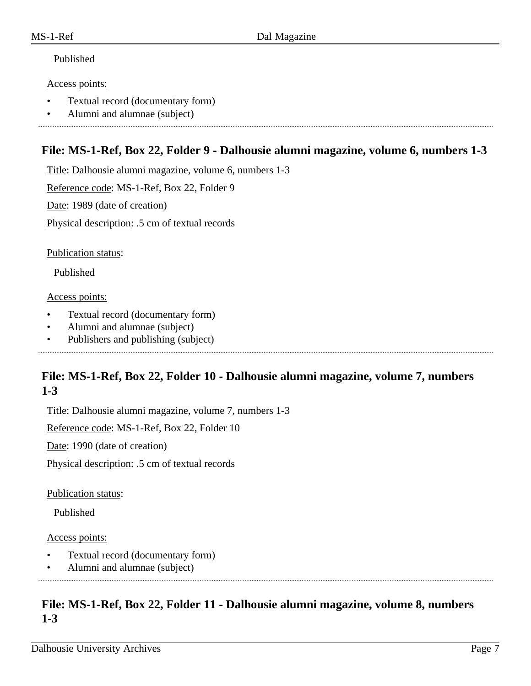#### Access points:

- Textual record (documentary form)
- Alumni and alumnae (subject)

### **File: MS-1-Ref, Box 22, Folder 9 - Dalhousie alumni magazine, volume 6, numbers 1-3**

Title: Dalhousie alumni magazine, volume 6, numbers 1-3

Reference code: MS-1-Ref, Box 22, Folder 9

Date: 1989 (date of creation)

Physical description: .5 cm of textual records

Publication status:

Published

#### Access points:

- Textual record (documentary form)
- Alumni and alumnae (subject)
- Publishers and publishing (subject)

# **File: MS-1-Ref, Box 22, Folder 10 - Dalhousie alumni magazine, volume 7, numbers 1-3**

Title: Dalhousie alumni magazine, volume 7, numbers 1-3

Reference code: MS-1-Ref, Box 22, Folder 10

Date: 1990 (date of creation)

Physical description: .5 cm of textual records

Publication status:

Published

#### Access points:

- Textual record (documentary form)
- Alumni and alumnae (subject)

# **File: MS-1-Ref, Box 22, Folder 11 - Dalhousie alumni magazine, volume 8, numbers 1-3**

Dalhousie University Archives Page 7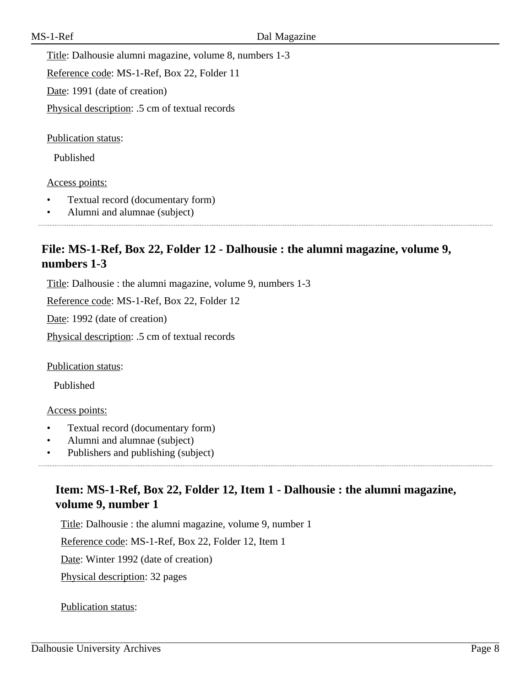Title: Dalhousie alumni magazine, volume 8, numbers 1-3

Reference code: MS-1-Ref, Box 22, Folder 11

Date: 1991 (date of creation)

Physical description: .5 cm of textual records

Publication status:

Published

#### Access points:

- Textual record (documentary form)
- Alumni and alumnae (subject)

# **File: MS-1-Ref, Box 22, Folder 12 - Dalhousie : the alumni magazine, volume 9, numbers 1-3**

Title: Dalhousie : the alumni magazine, volume 9, numbers 1-3

Reference code: MS-1-Ref, Box 22, Folder 12

Date: 1992 (date of creation)

Physical description: .5 cm of textual records

Publication status:

Published

#### Access points:

- Textual record (documentary form)
- Alumni and alumnae (subject)

• Publishers and publishing (subject)

# **Item: MS-1-Ref, Box 22, Folder 12, Item 1 - Dalhousie : the alumni magazine, volume 9, number 1**

Title: Dalhousie : the alumni magazine, volume 9, number 1

Reference code: MS-1-Ref, Box 22, Folder 12, Item 1

Date: Winter 1992 (date of creation)

Physical description: 32 pages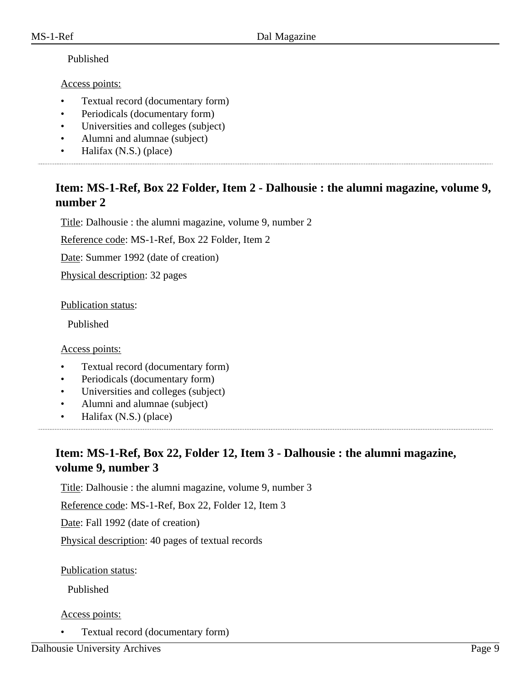#### Access points:

- Textual record (documentary form)
- Periodicals (documentary form)
- Universities and colleges (subject)
- Alumni and alumnae (subject)
- Halifax (N.S.) (place)

# **Item: MS-1-Ref, Box 22 Folder, Item 2 - Dalhousie : the alumni magazine, volume 9, number 2**

Title: Dalhousie : the alumni magazine, volume 9, number 2

Reference code: MS-1-Ref, Box 22 Folder, Item 2

Date: Summer 1992 (date of creation)

Physical description: 32 pages

Publication status:

Published

Access points:

- Textual record (documentary form)
- Periodicals (documentary form)
- Universities and colleges (subject)
- Alumni and alumnae (subject)
- Halifax (N.S.) (place)

# **Item: MS-1-Ref, Box 22, Folder 12, Item 3 - Dalhousie : the alumni magazine, volume 9, number 3**

Title: Dalhousie : the alumni magazine, volume 9, number 3

Reference code: MS-1-Ref, Box 22, Folder 12, Item 3

Date: Fall 1992 (date of creation)

Physical description: 40 pages of textual records

Publication status:

Published

Access points:

• Textual record (documentary form)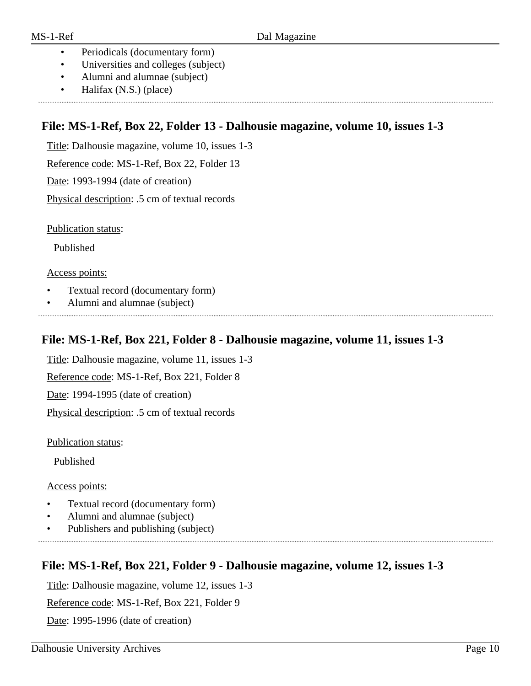- Periodicals (documentary form)
- Universities and colleges (subject)
- Alumni and alumnae (subject)
- Halifax (N.S.) (place)

# **File: MS-1-Ref, Box 22, Folder 13 - Dalhousie magazine, volume 10, issues 1-3**

Title: Dalhousie magazine, volume 10, issues 1-3

Reference code: MS-1-Ref, Box 22, Folder 13

Date: 1993-1994 (date of creation)

Physical description: .5 cm of textual records

Publication status:

Published

Access points:

- Textual record (documentary form)
- Alumni and alumnae (subject)

# **File: MS-1-Ref, Box 221, Folder 8 - Dalhousie magazine, volume 11, issues 1-3**

Title: Dalhousie magazine, volume 11, issues 1-3

Reference code: MS-1-Ref, Box 221, Folder 8

Date: 1994-1995 (date of creation)

Physical description: .5 cm of textual records

Publication status:

Published

#### Access points:

- Textual record (documentary form)
- Alumni and alumnae (subject)

• Publishers and publishing (subject)

## **File: MS-1-Ref, Box 221, Folder 9 - Dalhousie magazine, volume 12, issues 1-3**

Title: Dalhousie magazine, volume 12, issues 1-3

Reference code: MS-1-Ref, Box 221, Folder 9

Date: 1995-1996 (date of creation)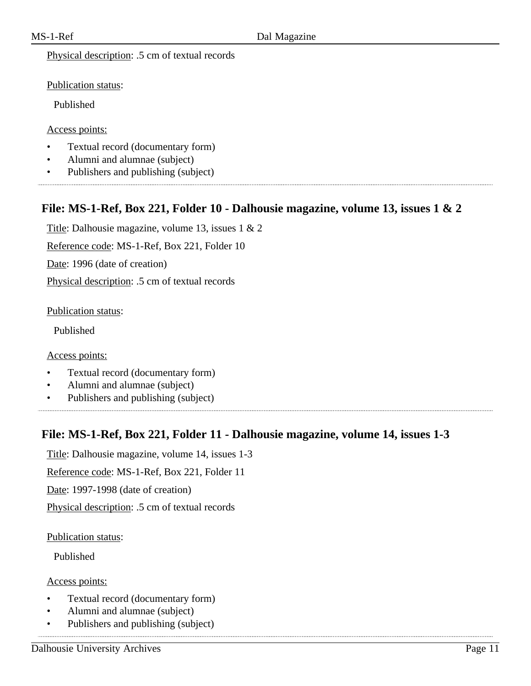Physical description: .5 cm of textual records

Publication status:

Published

Access points:

- Textual record (documentary form)
- Alumni and alumnae (subject)
- Publishers and publishing (subject)

## **File: MS-1-Ref, Box 221, Folder 10 - Dalhousie magazine, volume 13, issues 1 & 2**

Title: Dalhousie magazine, volume 13, issues 1 & 2

Reference code: MS-1-Ref, Box 221, Folder 10

Date: 1996 (date of creation)

Physical description: .5 cm of textual records

Publication status:

Published

Access points:

- Textual record (documentary form)
- Alumni and alumnae (subject)
- Publishers and publishing (subject)

### **File: MS-1-Ref, Box 221, Folder 11 - Dalhousie magazine, volume 14, issues 1-3**

Title: Dalhousie magazine, volume 14, issues 1-3

Reference code: MS-1-Ref, Box 221, Folder 11

Date: 1997-1998 (date of creation)

Physical description: .5 cm of textual records

Publication status:

Published

Access points:

- Textual record (documentary form)
- Alumni and alumnae (subject)
- Publishers and publishing (subject)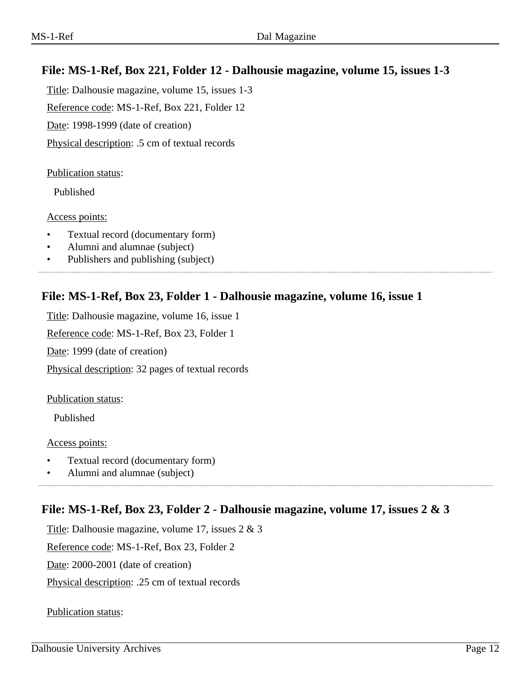# **File: MS-1-Ref, Box 221, Folder 12 - Dalhousie magazine, volume 15, issues 1-3**

Title: Dalhousie magazine, volume 15, issues 1-3 Reference code: MS-1-Ref, Box 221, Folder 12 Date: 1998-1999 (date of creation) Physical description: .5 cm of textual records

#### Publication status:

Published

#### Access points:

- Textual record (documentary form)
- Alumni and alumnae (subject)
- Publishers and publishing (subject)

### **File: MS-1-Ref, Box 23, Folder 1 - Dalhousie magazine, volume 16, issue 1**

Title: Dalhousie magazine, volume 16, issue 1 Reference code: MS-1-Ref, Box 23, Folder 1 Date: 1999 (date of creation) Physical description: 32 pages of textual records

#### Publication status:

Published

#### Access points:

- Textual record (documentary form)
- Alumni and alumnae (subject)

### **File: MS-1-Ref, Box 23, Folder 2 - Dalhousie magazine, volume 17, issues 2 & 3**

Title: Dalhousie magazine, volume 17, issues 2 & 3

Reference code: MS-1-Ref, Box 23, Folder 2

Date: 2000-2001 (date of creation)

Physical description: .25 cm of textual records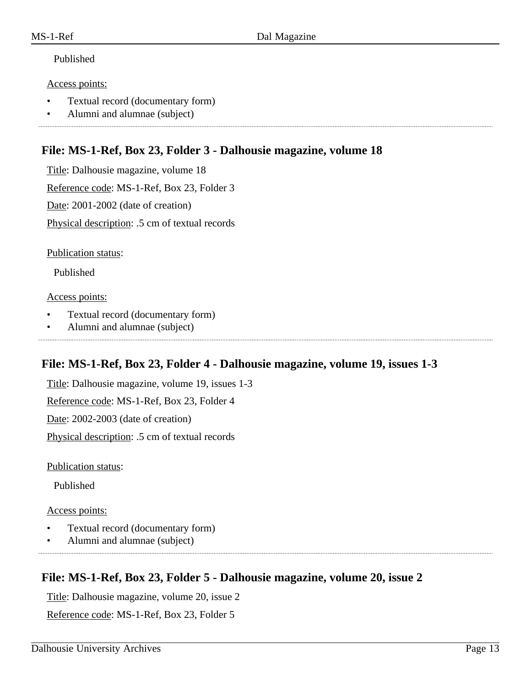#### Access points:

- Textual record (documentary form)
- Alumni and alumnae (subject)

### **File: MS-1-Ref, Box 23, Folder 3 - Dalhousie magazine, volume 18**

Title: Dalhousie magazine, volume 18 Reference code: MS-1-Ref, Box 23, Folder 3 Date: 2001-2002 (date of creation) Physical description: .5 cm of textual records

Publication status:

Published

#### Access points:

- Textual record (documentary form)
- Alumni and alumnae (subject)

## **File: MS-1-Ref, Box 23, Folder 4 - Dalhousie magazine, volume 19, issues 1-3**

Title: Dalhousie magazine, volume 19, issues 1-3

Reference code: MS-1-Ref, Box 23, Folder 4

Date: 2002-2003 (date of creation)

Physical description: .5 cm of textual records

Publication status:

Published

#### Access points:

- Textual record (documentary form)
- Alumni and alumnae (subject)

## **File: MS-1-Ref, Box 23, Folder 5 - Dalhousie magazine, volume 20, issue 2**

Title: Dalhousie magazine, volume 20, issue 2

Reference code: MS-1-Ref, Box 23, Folder 5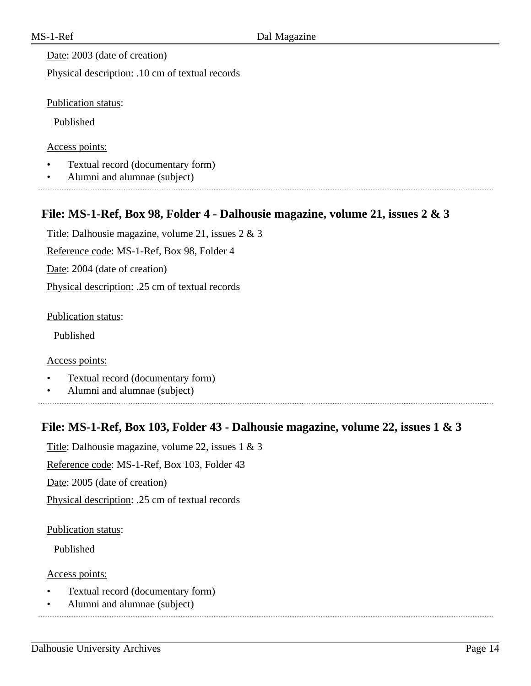Date: 2003 (date of creation)

Physical description: .10 cm of textual records

Publication status:

Published

Access points:

- Textual record (documentary form)
- Alumni and alumnae (subject)

# **File: MS-1-Ref, Box 98, Folder 4 - Dalhousie magazine, volume 21, issues 2 & 3**

Title: Dalhousie magazine, volume 21, issues 2 & 3 Reference code: MS-1-Ref, Box 98, Folder 4 Date: 2004 (date of creation) Physical description: .25 cm of textual records

Publication status:

Published

Access points:

- Textual record (documentary form)
- Alumni and alumnae (subject)

## **File: MS-1-Ref, Box 103, Folder 43 - Dalhousie magazine, volume 22, issues 1 & 3**

Title: Dalhousie magazine, volume 22, issues 1 & 3

Reference code: MS-1-Ref, Box 103, Folder 43

Date: 2005 (date of creation)

Physical description: .25 cm of textual records

Publication status:

Published

Access points:

- Textual record (documentary form)
- Alumni and alumnae (subject)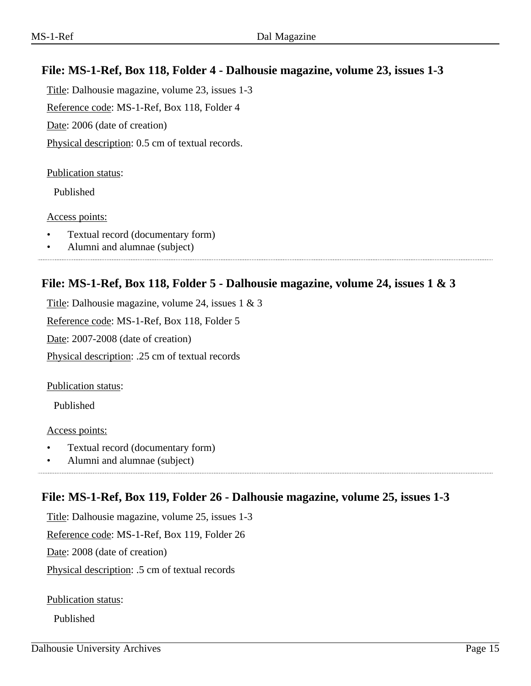# **File: MS-1-Ref, Box 118, Folder 4 - Dalhousie magazine, volume 23, issues 1-3**

Title: Dalhousie magazine, volume 23, issues 1-3 Reference code: MS-1-Ref, Box 118, Folder 4

Date: 2006 (date of creation)

Physical description: 0.5 cm of textual records.

#### Publication status:

Published

#### Access points:

- Textual record (documentary form)
- Alumni and alumnae (subject)

### **File: MS-1-Ref, Box 118, Folder 5 - Dalhousie magazine, volume 24, issues 1 & 3**

Title: Dalhousie magazine, volume 24, issues 1 & 3

Reference code: MS-1-Ref, Box 118, Folder 5

Date: 2007-2008 (date of creation)

Physical description: .25 cm of textual records

Publication status:

Published

Access points:

- Textual record (documentary form)
- Alumni and alumnae (subject)

## **File: MS-1-Ref, Box 119, Folder 26 - Dalhousie magazine, volume 25, issues 1-3**

Title: Dalhousie magazine, volume 25, issues 1-3

Reference code: MS-1-Ref, Box 119, Folder 26

Date: 2008 (date of creation)

Physical description: .5 cm of textual records

Publication status:

Published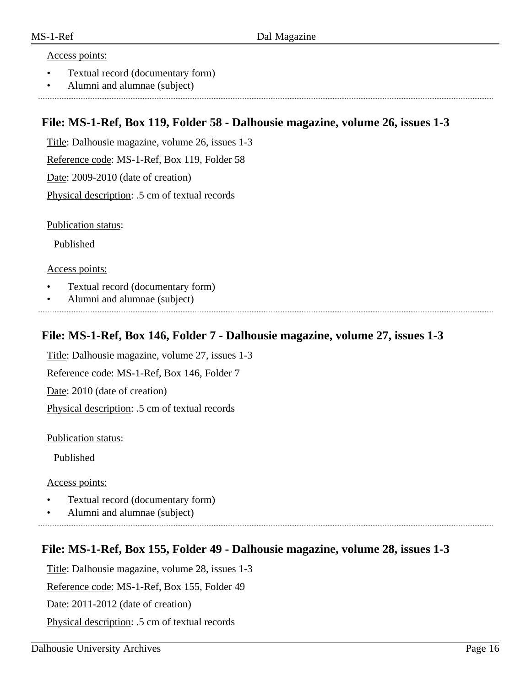#### Access points:

- Textual record (documentary form)
- Alumni and alumnae (subject)

### **File: MS-1-Ref, Box 119, Folder 58 - Dalhousie magazine, volume 26, issues 1-3**

Title: Dalhousie magazine, volume 26, issues 1-3

Reference code: MS-1-Ref, Box 119, Folder 58

Date: 2009-2010 (date of creation)

Physical description: .5 cm of textual records

Publication status:

Published

Access points:

- Textual record (documentary form)
- Alumni and alumnae (subject)

#### **File: MS-1-Ref, Box 146, Folder 7 - Dalhousie magazine, volume 27, issues 1-3**

Title: Dalhousie magazine, volume 27, issues 1-3

Reference code: MS-1-Ref, Box 146, Folder 7

Date: 2010 (date of creation)

Physical description: .5 cm of textual records

Publication status:

Published

Access points:

- Textual record (documentary form)
- Alumni and alumnae (subject)

### **File: MS-1-Ref, Box 155, Folder 49 - Dalhousie magazine, volume 28, issues 1-3**

Title: Dalhousie magazine, volume 28, issues 1-3

Reference code: MS-1-Ref, Box 155, Folder 49

Date: 2011-2012 (date of creation)

Physical description: .5 cm of textual records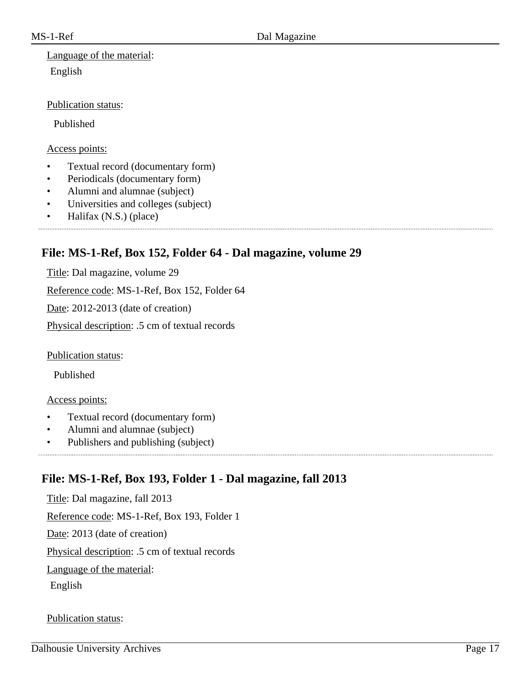# Language of the material: English

#### Publication status:

Published

#### Access points:

- Textual record (documentary form)
- Periodicals (documentary form)
- Alumni and alumnae (subject)
- Universities and colleges (subject)
- Halifax (N.S.) (place)

# **File: MS-1-Ref, Box 152, Folder 64 - Dal magazine, volume 29**

Title: Dal magazine, volume 29

Reference code: MS-1-Ref, Box 152, Folder 64

Date: 2012-2013 (date of creation)

Physical description: .5 cm of textual records

Publication status:

Published

#### Access points:

- Textual record (documentary form)
- Alumni and alumnae (subject)
- Publishers and publishing (subject)

# **File: MS-1-Ref, Box 193, Folder 1 - Dal magazine, fall 2013**

Title: Dal magazine, fall 2013 Reference code: MS-1-Ref, Box 193, Folder 1 Date: 2013 (date of creation) Physical description: .5 cm of textual records Language of the material: English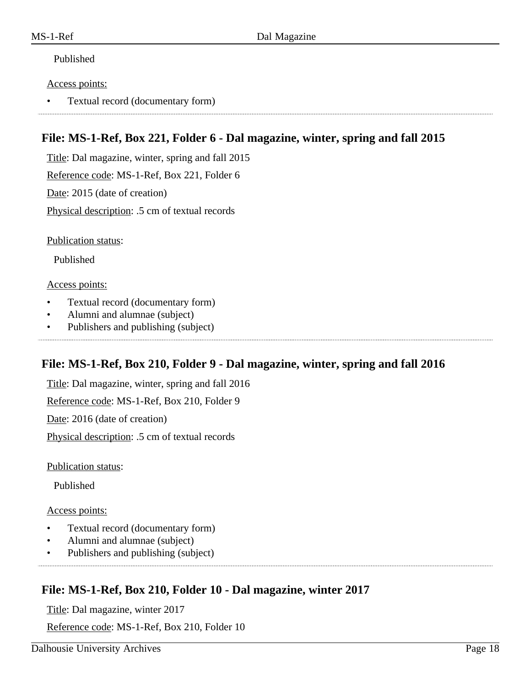#### Access points:

• Textual record (documentary form)

# **File: MS-1-Ref, Box 221, Folder 6 - Dal magazine, winter, spring and fall 2015**

Title: Dal magazine, winter, spring and fall 2015

Reference code: MS-1-Ref, Box 221, Folder 6

Date: 2015 (date of creation)

Physical description: .5 cm of textual records

Publication status:

Published

#### Access points:

- Textual record (documentary form)
- Alumni and alumnae (subject)
- Publishers and publishing (subject)

## **File: MS-1-Ref, Box 210, Folder 9 - Dal magazine, winter, spring and fall 2016**

Title: Dal magazine, winter, spring and fall 2016

Reference code: MS-1-Ref, Box 210, Folder 9

Date: 2016 (date of creation)

Physical description: .5 cm of textual records

Publication status:

Published

#### Access points:

- Textual record (documentary form)
- Alumni and alumnae (subject)
- Publishers and publishing (subject)

# **File: MS-1-Ref, Box 210, Folder 10 - Dal magazine, winter 2017**

Title: Dal magazine, winter 2017

Reference code: MS-1-Ref, Box 210, Folder 10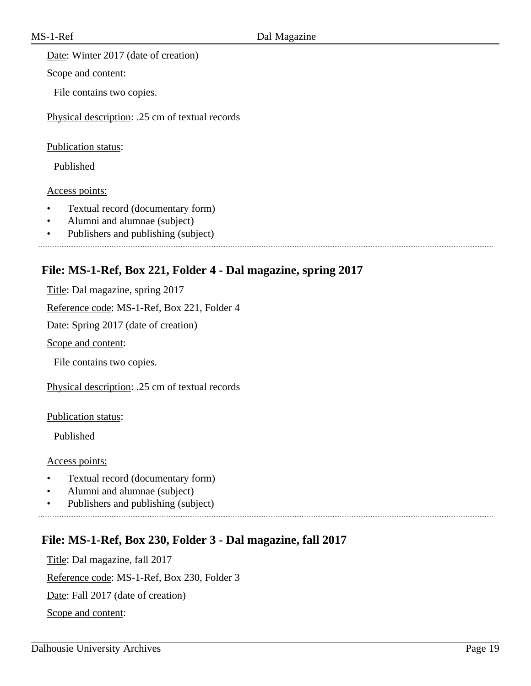Date: Winter 2017 (date of creation)

Scope and content:

File contains two copies.

Physical description: .25 cm of textual records

Publication status:

Published

Access points:

- Textual record (documentary form)
- Alumni and alumnae (subject)
- Publishers and publishing (subject)

## **File: MS-1-Ref, Box 221, Folder 4 - Dal magazine, spring 2017**

Title: Dal magazine, spring 2017

Reference code: MS-1-Ref, Box 221, Folder 4

Date: Spring 2017 (date of creation)

Scope and content:

File contains two copies.

Physical description: .25 cm of textual records

Publication status:

Published

Access points:

- Textual record (documentary form)
- Alumni and alumnae (subject)
- Publishers and publishing (subject)

## **File: MS-1-Ref, Box 230, Folder 3 - Dal magazine, fall 2017**

Title: Dal magazine, fall 2017 Reference code: MS-1-Ref, Box 230, Folder 3 Date: Fall 2017 (date of creation) Scope and content: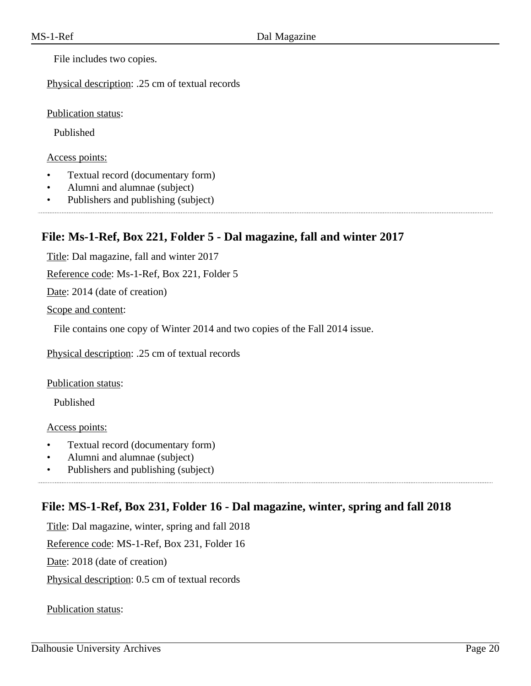File includes two copies.

Physical description: .25 cm of textual records

Publication status:

Published

Access points:

- Textual record (documentary form)
- Alumni and alumnae (subject)
- Publishers and publishing (subject)

## **File: Ms-1-Ref, Box 221, Folder 5 - Dal magazine, fall and winter 2017**

Title: Dal magazine, fall and winter 2017

Reference code: Ms-1-Ref, Box 221, Folder 5

Date: 2014 (date of creation)

Scope and content:

File contains one copy of Winter 2014 and two copies of the Fall 2014 issue.

Physical description: .25 cm of textual records

Publication status:

Published

Access points:

- Textual record (documentary form)
- Alumni and alumnae (subject)
- Publishers and publishing (subject)

## **File: MS-1-Ref, Box 231, Folder 16 - Dal magazine, winter, spring and fall 2018**

Title: Dal magazine, winter, spring and fall 2018

Reference code: MS-1-Ref, Box 231, Folder 16

Date: 2018 (date of creation)

Physical description: 0.5 cm of textual records